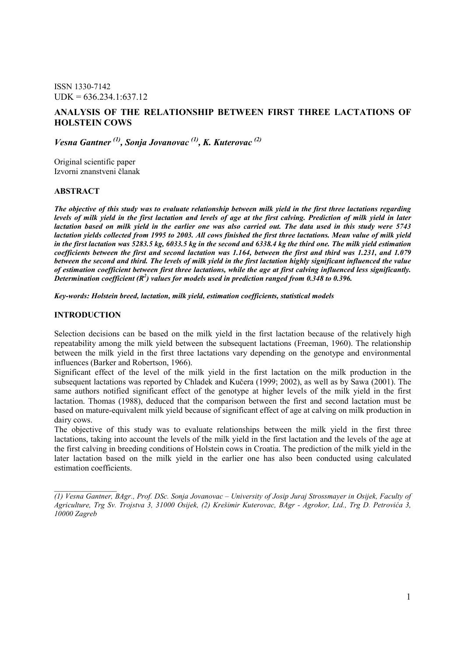ISSN 1330-7142  $UDK = 636.234.1:637.12$ 

## ANALYSIS OF THE RELATIONSHIP BETWEEN FIRST THREE LACTATIONS OF HOLSTEIN COWS

Vesna Gantner<sup>(1)</sup>, Sonja Jovanovac<sup>(1)</sup>, K. Kuterovac<sup>(2)</sup>

Original scientific paper Izvorni znanstveni članak

### ABSTRACT

The objective of this study was to evaluate relationship between milk yield in the first three lactations regarding levels of milk yield in the first lactation and levels of age at the first calving. Prediction of milk yield in later lactation based on milk yield in the earlier one was also carried out. The data used in this study were 5743 lactation yields collected from 1995 to 2003. All cows finished the first three lactations. Mean value of milk yield in the first lactation was 5283.5 kg, 6033.5 kg in the second and 6338.4 kg the third one. The milk yield estimation coefficients between the first and second lactation was 1.164, between the first and third was 1.231, and 1.079 between the second and third. The levels of milk yield in the first lactation highly significant influenced the value of estimation coefficient between first three lactations, while the age at first calving influenced less significantly. Determination coefficient ( $\mathbb{R}^2$ ) values for models used in prediction ranged from 0.348 to 0.396.

Key-words: Holstein breed, lactation, milk yield, estimation coefficients, statistical models

### INTRODUCTION

 $\overline{\phantom{a}}$ 

Selection decisions can be based on the milk yield in the first lactation because of the relatively high repeatability among the milk yield between the subsequent lactations (Freeman, 1960). The relationship between the milk yield in the first three lactations vary depending on the genotype and environmental influences (Barker and Robertson, 1966).

Significant effect of the level of the milk yield in the first lactation on the milk production in the subsequent lactations was reported by Chladek and Kučera (1999; 2002), as well as by Sawa (2001). The same authors notified significant effect of the genotype at higher levels of the milk yield in the first lactation. Thomas (1988), deduced that the comparison between the first and second lactation must be based on mature-equivalent milk yield because of significant effect of age at calving on milk production in dairy cows.

The objective of this study was to evaluate relationships between the milk yield in the first three lactations, taking into account the levels of the milk yield in the first lactation and the levels of the age at the first calving in breeding conditions of Holstein cows in Croatia. The prediction of the milk yield in the later lactation based on the milk yield in the earlier one has also been conducted using calculated estimation coefficients.

<sup>(1)</sup> Vesna Gantner, BAgr., Prof. DSc. Sonja Jovanovac – University of Josip Juraj Strossmayer in Osijek, Faculty of Agriculture, Trg Sv. Trojstva 3, 31000 Osijek, (2) Krešimir Kuterovac, BAgr - Agrokor, Ltd., Trg D. Petrovića 3, 10000 Zagreb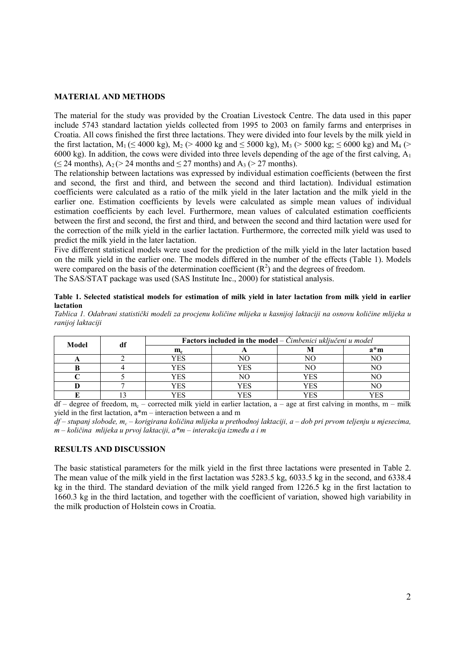#### MATERIAL AND METHODS

The material for the study was provided by the Croatian Livestock Centre. The data used in this paper include 5743 standard lactation yields collected from 1995 to 2003 on family farms and enterprises in Croatia. All cows finished the first three lactations. They were divided into four levels by the milk yield in the first lactation,  $M_1$  ( $\leq$  4000 kg),  $M_2$  ( $>$  4000 kg and  $\leq$  5000 kg),  $M_3$  ( $>$  5000 kg;  $\leq$  6000 kg) and  $M_4$  ( $>$ 6000 kg). In addition, the cows were divided into three levels depending of the age of the first calving,  $A_1$  $(\leq 24 \text{ months}), A_2 \geq 24 \text{ months}$  and  $\leq 27 \text{ months}$  and  $A_3 \geq 27 \text{ months}$ .

The relationship between lactations was expressed by individual estimation coefficients (between the first and second, the first and third, and between the second and third lactation). Individual estimation coefficients were calculated as a ratio of the milk yield in the later lactation and the milk yield in the earlier one. Estimation coefficients by levels were calculated as simple mean values of individual estimation coefficients by each level. Furthermore, mean values of calculated estimation coefficients between the first and second, the first and third, and between the second and third lactation were used for the correction of the milk yield in the earlier lactation. Furthermore, the corrected milk yield was used to predict the milk yield in the later lactation.

Five different statistical models were used for the prediction of the milk yield in the later lactation based on the milk yield in the earlier one. The models differed in the number of the effects (Table 1). Models were compared on the basis of the determination coefficient  $(R^2)$  and the degrees of freedom.

The SAS/STAT package was used (SAS Institute Inc., 2000) for statistical analysis.

Table 1. Selected statistical models for estimation of milk yield in later lactation from milk yield in earlier lactation

Tablica 1. Odabrani statistički modeli za procjenu količine mlijeka u kasnijoj laktaciji na osnovu količine mlijeka u ranijoj laktaciji

| <b>Model</b> | df | <b>Factors included in the model</b> – $\ddot{C}$ <i>imbenici uključeni u model</i> |     |     |     |  |  |  |  |
|--------------|----|-------------------------------------------------------------------------------------|-----|-----|-----|--|--|--|--|
|              |    | $\mathbf{m}_{\rm c}$                                                                |     |     | a*m |  |  |  |  |
|              |    | YES                                                                                 |     |     |     |  |  |  |  |
|              |    | YES                                                                                 | YES |     | NО  |  |  |  |  |
|              |    | YES                                                                                 |     | YES |     |  |  |  |  |
|              |    | YES                                                                                 | YES | YES |     |  |  |  |  |
|              |    | "ES                                                                                 | YES | YES |     |  |  |  |  |

 $df$  – degree of freedom,  $m_c$  – corrected milk yield in earlier lactation,  $a$  – age at first calving in months,  $m$  – milk yield in the first lactation, a\*m – interaction between a and m

df – stupanj slobode, m<sub>c</sub> – korigirana količina mlijeka u prethodnoj laktaciji, a – dob pri prvom teljenju u mjesecima,  $m - k$ oličina mlijeka u prvoj laktaciji, a\*m – interakcija između a i m

### RESULTS AND DISCUSSION

The basic statistical parameters for the milk yield in the first three lactations were presented in Table 2. The mean value of the milk yield in the first lactation was 5283.5 kg, 6033.5 kg in the second, and 6338.4 kg in the third. The standard deviation of the milk yield ranged from 1226.5 kg in the first lactation to 1660.3 kg in the third lactation, and together with the coefficient of variation, showed high variability in the milk production of Holstein cows in Croatia.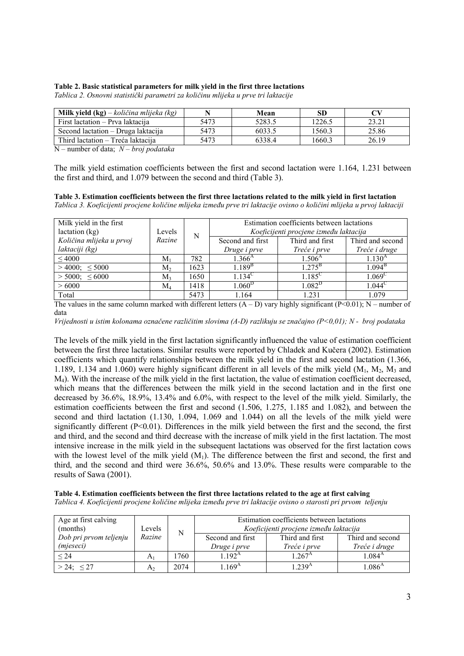#### Table 2. Basic statistical parameters for milk yield in the first three lactations

Tablica 2. Osnovni statistički parametri za količinu mlijeka u prve tri laktacije

| <b>Milk yield (kg)</b> – količina mlijeka (kg) |      | Mean   | <b>SD</b> |       |
|------------------------------------------------|------|--------|-----------|-------|
| First lactation – Prva laktacija               | 5473 | 5283.5 | 1226.5    | 23.21 |
| Second lactation – Druga laktacija             | 5473 | 6033.5 | 1560.3    | 25.86 |
| Third lactation – Treća laktacija              | 5473 | 6338.4 | 1660.3    | 26.19 |

N – number of data;  $N$  – broj podataka

The milk yield estimation coefficients between the first and second lactation were 1.164, 1.231 between the first and third, and 1.079 between the second and third (Table 3).

Table 3. Estimation coefficients between the first three lactations related to the milk yield in first lactation

Tablica 3. Koeficijenti procjene količine mlijeka izmeñu prve tri laktacije ovisno o količini mlijeka u prvoj laktaciji

| Milk yield in the first<br>lactation (kg) | Levels  | N    | Estimation coefficients between lactations<br>Koeficijenti procjene između laktacija |                  |                    |  |  |
|-------------------------------------------|---------|------|--------------------------------------------------------------------------------------|------------------|--------------------|--|--|
| Količina mlijeka u prvoj                  | Razine  |      | Second and first                                                                     | Third and first  | Third and second   |  |  |
| laktaciji (kg)                            |         |      | Druge i prve                                                                         | Treće i prve     | Treće i druge      |  |  |
| ${}<$ 4000                                | $M_1$   | 782  | $1.366^{\rm A}$                                                                      | $1.506^{A}$      | $1.130^{A}$        |  |  |
| $>4000$ : <5000                           | $M_{2}$ | 1623 | $1.189^{B}$                                                                          | $1275^{\rm B}$   | $1.094^{\rm B}$    |  |  |
| $>$ 5000: $\leq$ 6000                     | $M_{3}$ | 1650 | $1.134$ <sup>C</sup>                                                                 | 1.185 $^{\circ}$ | 1.069 <sup>C</sup> |  |  |
| >6000<br>$\rm M_{\it A}$                  |         | 1418 | 1.060 <sup>D</sup>                                                                   | $1.082^{\rm D}$  | 1.044 $^{\circ}$   |  |  |
| Total                                     |         | 5473 | 1.164                                                                                | 1 2 3 1          | 1.079              |  |  |

The values in the same column marked with different letters  $(A - D)$  vary highly significant  $(P<0.01)$ ; N – number of data

Vrijednosti u istim kolonama označene različitim slovima (A-D) razlikuju se značajno (P<0,01); N - broj podataka

The levels of the milk yield in the first lactation significantly influenced the value of estimation coefficient between the first three lactations. Similar results were reported by Chladek and Kučera (2002). Estimation coefficients which quantify relationships between the milk yield in the first and second lactation (1.366, 1.189, 1.134 and 1.060) were highly significant different in all levels of the milk yield  $(M_1, M_2, M_3)$  and M4). With the increase of the milk yield in the first lactation, the value of estimation coefficient decreased, which means that the differences between the milk yield in the second lactation and in the first one decreased by 36.6%, 18.9%, 13.4% and 6.0%, with respect to the level of the milk yield. Similarly, the estimation coefficients between the first and second (1.506, 1.275, 1.185 and 1.082), and between the second and third lactation (1.130, 1.094, 1.069 and 1.044) on all the levels of the milk yield were significantly different  $(P<0.01)$ . Differences in the milk yield between the first and the second, the first and third, and the second and third decrease with the increase of milk yield in the first lactation. The most intensive increase in the milk yield in the subsequent lactations was observed for the first lactation cows with the lowest level of the milk yield  $(M_1)$ . The difference between the first and second, the first and third, and the second and third were 36.6%, 50.6% and 13.0%. These results were comparable to the results of Sawa (2001).

Table 4. Estimation coefficients between the first three lactations related to the age at first calving Tablica 4. Koeficijenti procjene količine mlijeka izmeñu prve tri laktacije ovisno o starosti pri prvom teljenju

| Age at first calving<br>(months)    | Levels         | N    | Estimation coefficients between lactations<br>Koeficijenti procjene između laktacija |                                 |                                   |  |
|-------------------------------------|----------------|------|--------------------------------------------------------------------------------------|---------------------------------|-----------------------------------|--|
| Dob pri prvom teljenju<br>(mjeseci) | Razine         |      | Second and first<br>Druge i prve                                                     | Third and first<br>Treće i prve | Third and second<br>Treće i druge |  |
| < 24                                | A              | 1760 | $1.192^{\rm A}$                                                                      | $1.267^{\rm A}$                 | $1.084^{A}$                       |  |
| $> 24$ ; $\leq 27$                  | A <sub>2</sub> | 2074 | $169^{\rm A}$                                                                        | 1.239 <sup>A</sup>              | $1.086^{\rm A}$                   |  |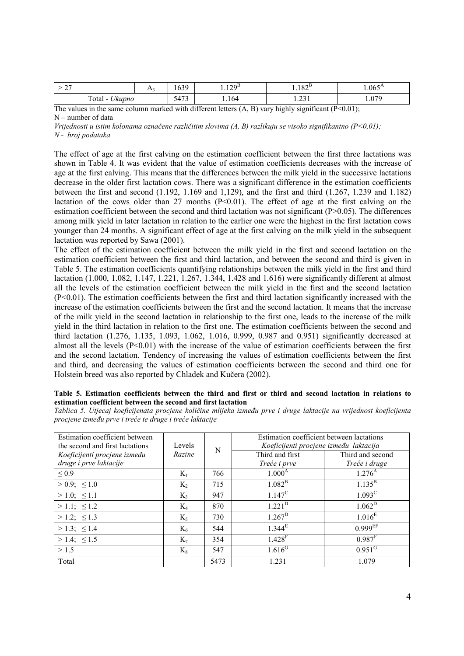| $\sim$<br>TV.<br>∼ |  | $\sim$<br>103            | ിറല<br>1.14.      | 1075<br>1.102   | $1.065^{\rm A}$ |
|--------------------|--|--------------------------|-------------------|-----------------|-----------------|
| Total<br>Ukupno    |  | 472<br>١۷<br><u>- 11</u> | 1.164             | $\sim$<br>1.231 | <b>070</b>      |
| $T = 1$            |  | 1.00<br>$\cdot$ .1       | $\mathbf{r}$<br>. | $\cdot$ $\sim$  | (5.62)          |

The values in the same column marked with different letters  $(A, B)$  vary highly significant  $(P<0.01)$ ; N – number of data

Vrijednosti u istim kolonama označene različitim slovima  $(A, B)$  razlikuju se visoko signifikantno  $(P<0,01)$ ; N - broj podataka

The effect of age at the first calving on the estimation coefficient between the first three lactations was shown in Table 4. It was evident that the value of estimation coefficients decreases with the increase of age at the first calving. This means that the differences between the milk yield in the successive lactations decrease in the older first lactation cows. There was a significant difference in the estimation coefficients between the first and second (1.192, 1.169 and 1,129), and the first and third (1.267, 1.239 and 1.182) lactation of the cows older than 27 months  $(P< 0.01)$ . The effect of age at the first calving on the estimation coefficient between the second and third lactation was not significant (P>0.05). The differences among milk yield in later lactation in relation to the earlier one were the highest in the first lactation cows younger than 24 months. A significant effect of age at the first calving on the milk yield in the subsequent lactation was reported by Sawa (2001).

The effect of the estimation coefficient between the milk yield in the first and second lactation on the estimation coefficient between the first and third lactation, and between the second and third is given in Table 5. The estimation coefficients quantifying relationships between the milk yield in the first and third lactation (1.000, 1.082, 1.147, 1.221, 1.267, 1.344, 1.428 and 1.616) were significantly different at almost all the levels of the estimation coefficient between the milk yield in the first and the second lactation (P<0.01). The estimation coefficients between the first and third lactation significantly increased with the increase of the estimation coefficients between the first and the second lactation. It means that the increase of the milk yield in the second lactation in relationship to the first one, leads to the increase of the milk yield in the third lactation in relation to the first one. The estimation coefficients between the second and third lactation (1.276, 1.135, 1.093, 1.062, 1.016, 0.999, 0.987 and 0.951) significantly decreased at almost all the levels  $(P<0.01)$  with the increase of the value of estimation coefficients between the first and the second lactation. Tendency of increasing the values of estimation coefficients between the first and third, and decreasing the values of estimation coefficients between the second and third one for Holstein breed was also reported by Chladek and Kučera (2002).

#### Table 5. Estimation coefficients between the third and first or third and second lactation in relations to estimation coefficient between the second and first lactation

Tablica 5. Utjecaj koeficijenata procjene količine mlijeka izmeñu prve i druge laktacije na vrijednost koeficijenta procjene izmeñu prve i treće te druge i treće laktacije

| Estimation coefficient between<br>the second and first lactations | Levels         | N    | Estimation coefficient between lactations<br>Koeficijenti procjene između laktacija |                       |  |
|-------------------------------------------------------------------|----------------|------|-------------------------------------------------------------------------------------|-----------------------|--|
| Koeficijenti procjene između                                      | Razine         |      | Third and first                                                                     | Third and second      |  |
| druge i prve laktacije                                            |                |      | Treće i prve                                                                        | Treće i druge         |  |
| $\leq 0.9$                                                        | $K_1$          | 766  | $1.000^{\rm A}$                                                                     | $1.276^{A}$           |  |
| $> 0.9$ ; $\leq 1.0$                                              | $K_2$          | 715  | $1.082^{\rm B}$                                                                     | $1.135^{\rm B}$       |  |
| $>1.0$ ; $\leq 1.1$                                               | K <sub>3</sub> | 947  | $1.147^{\circ}$                                                                     | $1.093^{\circ}$       |  |
| $>1.1$ ; $\leq 1.2$                                               | $K_4$          | 870  | $1.221^{\rm D}$                                                                     | $1.062^D$             |  |
| $> 1.2$ ; $\leq 1.3$                                              | $K_5$          | 730  | $1.267^D$                                                                           | 1.016 <sup>E</sup>    |  |
| $> 1.3$ ; $\leq 1.4$                                              | $K_6$          | 544  | $1.344^{E}$                                                                         | $0.999$ <sub>EF</sub> |  |
| $>1.4$ ; $\leq 1.5$                                               | $K_7$          | 354  | $1.428$ <sup>F</sup>                                                                | 0.987 <sup>F</sup>    |  |
| > 1.5                                                             | $K_8$          | 547  | $1.616$ <sup>G</sup>                                                                | $0.951$ <sup>G</sup>  |  |
| Total                                                             |                | 5473 | 1.231                                                                               | 1.079                 |  |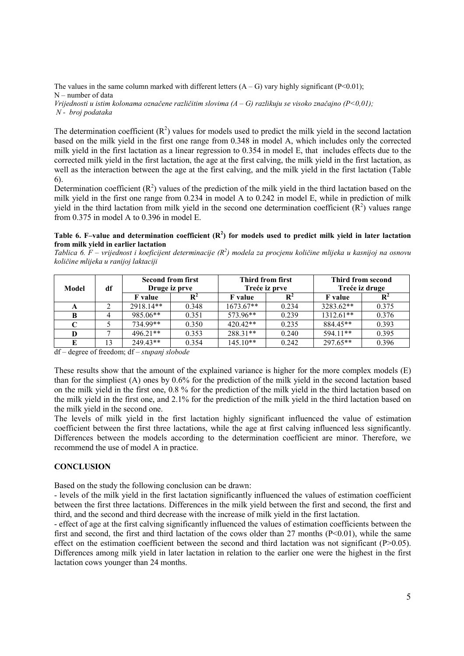The values in the same column marked with different letters  $(A - G)$  vary highly significant (P<0.01); N – number of data Vrijednosti u istim kolonama označene različitim slovima  $(A - G)$  razlikuju se visoko značajno  $(P<0,01)$ ; N - broj podataka

The determination coefficient  $(R^2)$  values for models used to predict the milk yield in the second lactation based on the milk yield in the first one range from 0.348 in model A, which includes only the corrected milk yield in the first lactation as a linear regression to 0.354 in model E, that includes effects due to the corrected milk yield in the first lactation, the age at the first calving, the milk yield in the first lactation, as well as the interaction between the age at the first calving, and the milk yield in the first lactation (Table 6).

Determination coefficient  $(R^2)$  values of the prediction of the milk yield in the third lactation based on the milk yield in the first one range from 0.234 in model A to 0.242 in model E, while in prediction of milk yield in the third lactation from milk yield in the second one determination coefficient  $(R^2)$  values range from 0.375 in model A to 0.396 in model E.

#### Table 6. F–value and determination coefficient  $(R^2)$  for models used to predict milk yield in later lactation from milk yield in earlier lactation

Tablica 6.  $F$  – vrijednost i koeficijent determinacije ( $R^2$ ) modela za procjenu količine mlijeka u kasnijoj na osnovu količine mlijeka u ranijoj laktaciji

| Model | df |                | <b>Second from first</b><br>Druge iz prve |                | Third from first<br>Treće iz prve |                | Third from second<br>Treće iz druge |  |
|-------|----|----------------|-------------------------------------------|----------------|-----------------------------------|----------------|-------------------------------------|--|
|       |    | <b>F</b> value |                                           | <b>F</b> value |                                   | <b>F</b> value |                                     |  |
| A     |    | 2918.14**      | 0.348                                     | $1673.67**$    | 0.234                             | 3283.62**      | 0.375                               |  |
| B     |    | 985.06**       | 0.351                                     | 573.96**       | 0.239                             | $1312.61**$    | 0.376                               |  |
|       |    | $734.99**$     | 0.350                                     | $420\,42**$    | 0.235                             | 884.45**       | 0.393                               |  |
| D     |    | $496.21**$     | 0.353                                     | $288.31**$     | 0.240                             | 594.11**       | 0.395                               |  |
|       |    | $249.43**$     | 0.354                                     | $145.10**$     | 0.242                             | $297.65**$     | 0.396                               |  |

df – degree of freedom; df – stupanj slobode

These results show that the amount of the explained variance is higher for the more complex models (E) than for the simpliest (A) ones by 0.6% for the prediction of the milk yield in the second lactation based on the milk yield in the first one, 0.8 % for the prediction of the milk yield in the third lactation based on the milk yield in the first one, and 2.1% for the prediction of the milk yield in the third lactation based on the milk yield in the second one.

The levels of milk yield in the first lactation highly significant influenced the value of estimation coefficient between the first three lactations, while the age at first calving influenced less significantly. Differences between the models according to the determination coefficient are minor. Therefore, we recommend the use of model A in practice.

### **CONCLUSION**

Based on the study the following conclusion can be drawn:

- levels of the milk yield in the first lactation significantly influenced the values of estimation coefficient between the first three lactations. Differences in the milk yield between the first and second, the first and third, and the second and third decrease with the increase of milk yield in the first lactation.

- effect of age at the first calving significantly influenced the values of estimation coefficients between the first and second, the first and third lactation of the cows older than 27 months  $(P<0.01)$ , while the same effect on the estimation coefficient between the second and third lactation was not significant ( $P>0.05$ ). Differences among milk yield in later lactation in relation to the earlier one were the highest in the first lactation cows younger than 24 months.